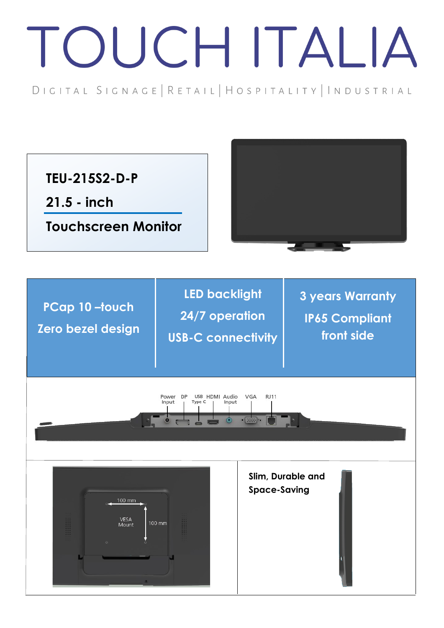## TOUCH ITALIA

DIGITAL SIGNAGE | RETAIL | HOSPITALITY | INDUSTRIAL

**TEU-215S2-D-P**

**21.5 - inch**

**Touchscreen Monitor**

**PCap 10 –touch Zero bezel design**

**LED backlight 24/7 operation USB-C connectivity**

**3 years Warranty IP65 Compliant front side**